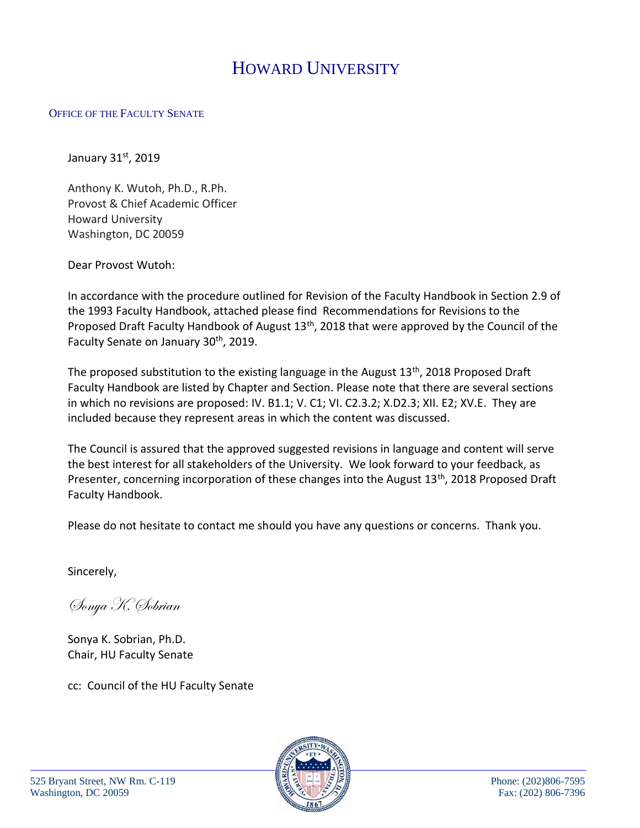# HOWARD UNIVERSITY

#### OFFICE OF THE FACULTY SENATE

January  $31<sup>st</sup>$ , 2019

Anthony K. Wutoh, Ph.D., R.Ph. Provost & Chief Academic Officer Howard University Washington, DC 20059

Dear Provost Wutoh:

In accordance with the procedure outlined for Revision of the Faculty Handbook in Section 2.9 of the 1993 Faculty Handbook, attached please find Recommendations for Revisions to the Proposed Draft Faculty Handbook of August 13<sup>th</sup>, 2018 that were approved by the Council of the Faculty Senate on January 30<sup>th</sup>, 2019.

The proposed substitution to the existing language in the August 13<sup>th</sup>, 2018 Proposed Draft Faculty Handbook are listed by Chapter and Section. Please note that there are several sections in which no revisions are proposed: IV. B1.1; V. C1; VI. C2.3.2; X.D2.3; XII. E2; XV.E. They are included because they represent areas in which the content was discussed.

The Council is assured that the approved suggested revisions in language and content will serve the best interest for all stakeholders of the University. We look forward to your feedback, as Presenter, concerning incorporation of these changes into the August 13<sup>th</sup>, 2018 Proposed Draft Faculty Handbook.

Please do not hesitate to contact me should you have any questions or concerns. Thank you.

Sincerely,

Sonya K. Sobrian

Sonya K. Sobrian, Ph.D. Chair, HU Faculty Senate

cc: Council of the HU Faculty Senate

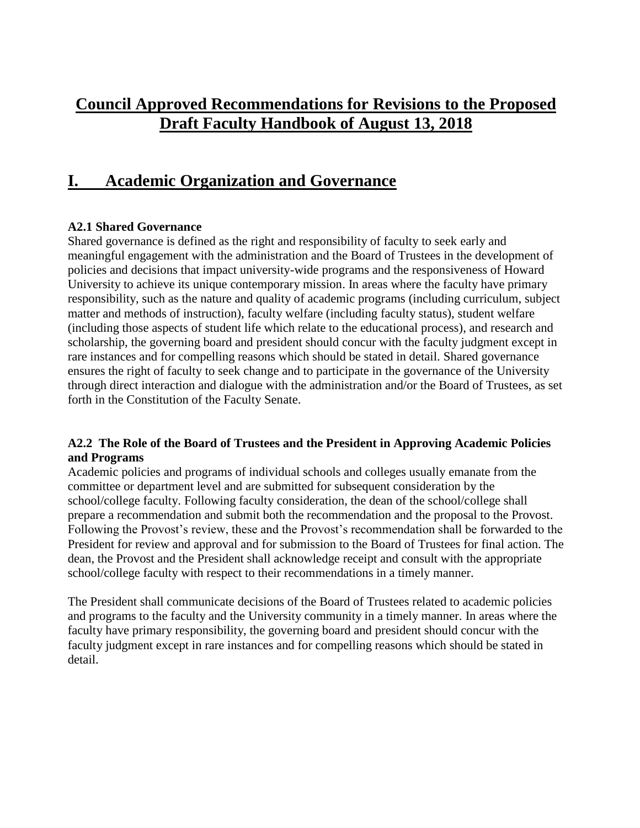## **Council Approved Recommendations for Revisions to the Proposed Draft Faculty Handbook of August 13, 2018**

### **I. Academic Organization and Governance**

#### **A2.1 Shared Governance**

Shared governance is defined as the right and responsibility of faculty to seek early and meaningful engagement with the administration and the Board of Trustees in the development of policies and decisions that impact university-wide programs and the responsiveness of Howard University to achieve its unique contemporary mission. In areas where the faculty have primary responsibility, such as the nature and quality of academic programs (including curriculum, subject matter and methods of instruction), faculty welfare (including faculty status), student welfare (including those aspects of student life which relate to the educational process), and research and scholarship, the governing board and president should concur with the faculty judgment except in rare instances and for compelling reasons which should be stated in detail. Shared governance ensures the right of faculty to seek change and to participate in the governance of the University through direct interaction and dialogue with the administration and/or the Board of Trustees, as set forth in the Constitution of the Faculty Senate.

#### **A2.2 The Role of the Board of Trustees and the President in Approving Academic Policies and Programs**

Academic policies and programs of individual schools and colleges usually emanate from the committee or department level and are submitted for subsequent consideration by the school/college faculty. Following faculty consideration, the dean of the school/college shall prepare a recommendation and submit both the recommendation and the proposal to the Provost. Following the Provost's review, these and the Provost's recommendation shall be forwarded to the President for review and approval and for submission to the Board of Trustees for final action. The dean, the Provost and the President shall acknowledge receipt and consult with the appropriate school/college faculty with respect to their recommendations in a timely manner.

The President shall communicate decisions of the Board of Trustees related to academic policies and programs to the faculty and the University community in a timely manner. In areas where the faculty have primary responsibility, the governing board and president should concur with the faculty judgment except in rare instances and for compelling reasons which should be stated in detail.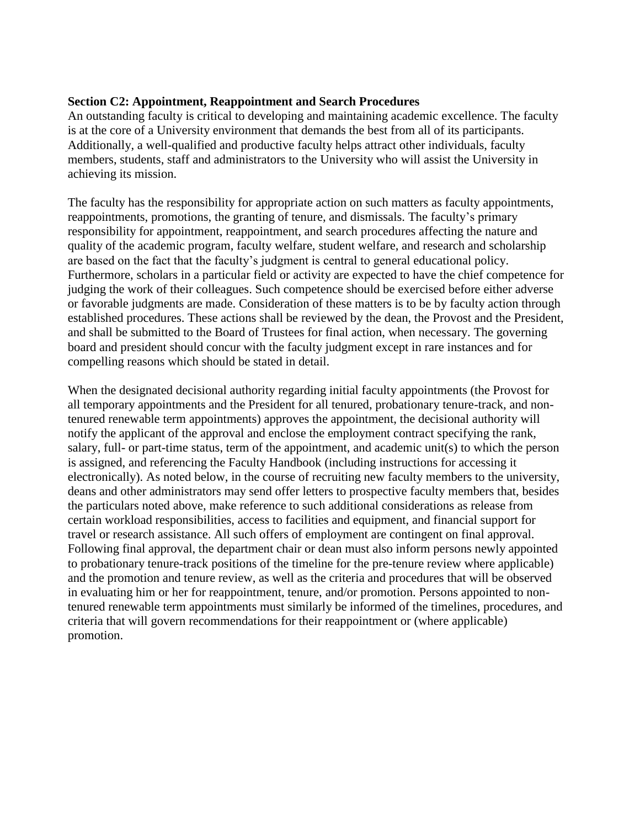#### **Section C2: Appointment, Reappointment and Search Procedures**

An outstanding faculty is critical to developing and maintaining academic excellence. The faculty is at the core of a University environment that demands the best from all of its participants. Additionally, a well-qualified and productive faculty helps attract other individuals, faculty members, students, staff and administrators to the University who will assist the University in achieving its mission.

The faculty has the responsibility for appropriate action on such matters as faculty appointments, reappointments, promotions, the granting of tenure, and dismissals. The faculty's primary responsibility for appointment, reappointment, and search procedures affecting the nature and quality of the academic program, faculty welfare, student welfare, and research and scholarship are based on the fact that the faculty's judgment is central to general educational policy. Furthermore, scholars in a particular field or activity are expected to have the chief competence for judging the work of their colleagues. Such competence should be exercised before either adverse or favorable judgments are made. Consideration of these matters is to be by faculty action through established procedures. These actions shall be reviewed by the dean, the Provost and the President, and shall be submitted to the Board of Trustees for final action, when necessary. The governing board and president should concur with the faculty judgment except in rare instances and for compelling reasons which should be stated in detail.

When the designated decisional authority regarding initial faculty appointments (the Provost for all temporary appointments and the President for all tenured, probationary tenure-track, and nontenured renewable term appointments) approves the appointment, the decisional authority will notify the applicant of the approval and enclose the employment contract specifying the rank, salary, full- or part-time status, term of the appointment, and academic unit(s) to which the person is assigned, and referencing the Faculty Handbook (including instructions for accessing it electronically). As noted below, in the course of recruiting new faculty members to the university, deans and other administrators may send offer letters to prospective faculty members that, besides the particulars noted above, make reference to such additional considerations as release from certain workload responsibilities, access to facilities and equipment, and financial support for travel or research assistance. All such offers of employment are contingent on final approval. Following final approval, the department chair or dean must also inform persons newly appointed to probationary tenure-track positions of the timeline for the pre-tenure review where applicable) and the promotion and tenure review, as well as the criteria and procedures that will be observed in evaluating him or her for reappointment, tenure, and/or promotion. Persons appointed to nontenured renewable term appointments must similarly be informed of the timelines, procedures, and criteria that will govern recommendations for their reappointment or (where applicable) promotion.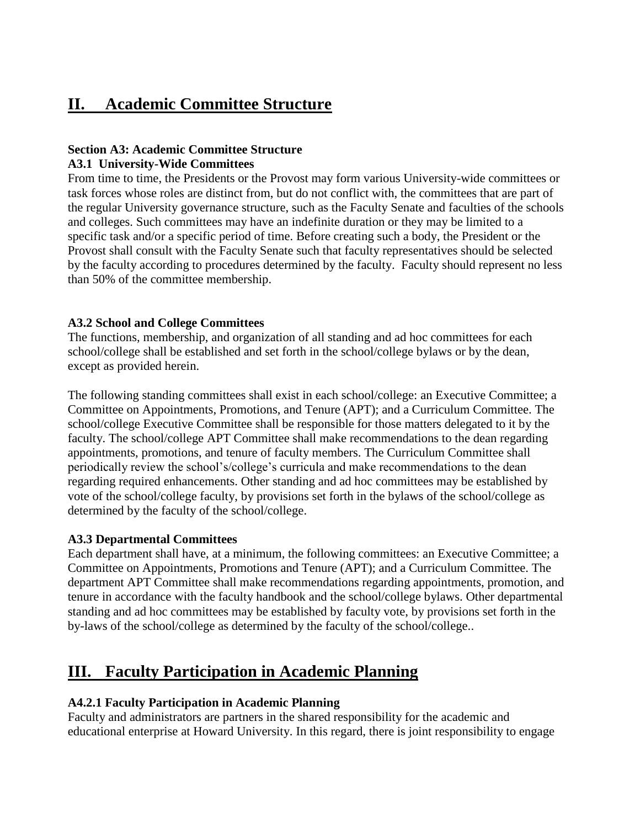### **II. Academic Committee Structure**

#### **Section A3: Academic Committee Structure A3.1 University-Wide Committees**

From time to time, the Presidents or the Provost may form various University-wide committees or task forces whose roles are distinct from, but do not conflict with, the committees that are part of the regular University governance structure, such as the Faculty Senate and faculties of the schools and colleges. Such committees may have an indefinite duration or they may be limited to a specific task and/or a specific period of time. Before creating such a body, the President or the Provost shall consult with the Faculty Senate such that faculty representatives should be selected by the faculty according to procedures determined by the faculty. Faculty should represent no less than 50% of the committee membership.

#### **A3.2 School and College Committees**

The functions, membership, and organization of all standing and ad hoc committees for each school/college shall be established and set forth in the school/college bylaws or by the dean, except as provided herein.

The following standing committees shall exist in each school/college: an Executive Committee; a Committee on Appointments, Promotions, and Tenure (APT); and a Curriculum Committee. The school/college Executive Committee shall be responsible for those matters delegated to it by the faculty. The school/college APT Committee shall make recommendations to the dean regarding appointments, promotions, and tenure of faculty members. The Curriculum Committee shall periodically review the school's/college's curricula and make recommendations to the dean regarding required enhancements. Other standing and ad hoc committees may be established by vote of the school/college faculty, by provisions set forth in the bylaws of the school/college as determined by the faculty of the school/college.

#### **A3.3 Departmental Committees**

Each department shall have, at a minimum, the following committees: an Executive Committee; a Committee on Appointments, Promotions and Tenure (APT); and a Curriculum Committee. The department APT Committee shall make recommendations regarding appointments, promotion, and tenure in accordance with the faculty handbook and the school/college bylaws. Other departmental standing and ad hoc committees may be established by faculty vote, by provisions set forth in the by-laws of the school/college as determined by the faculty of the school/college..

## **III. Faculty Participation in Academic Planning**

#### **A4.2.1 Faculty Participation in Academic Planning**

Faculty and administrators are partners in the shared responsibility for the academic and educational enterprise at Howard University. In this regard, there is joint responsibility to engage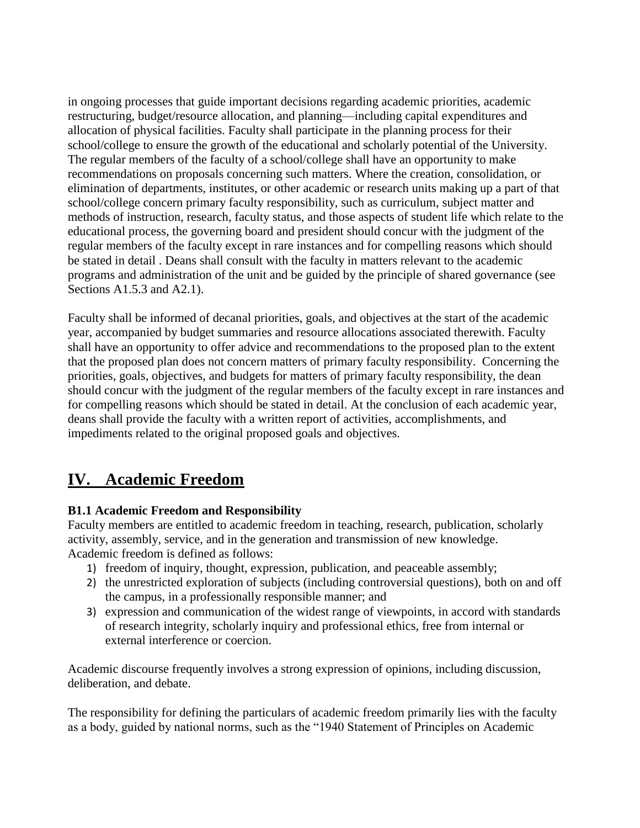in ongoing processes that guide important decisions regarding academic priorities, academic restructuring, budget/resource allocation, and planning—including capital expenditures and allocation of physical facilities. Faculty shall participate in the planning process for their school/college to ensure the growth of the educational and scholarly potential of the University. The regular members of the faculty of a school/college shall have an opportunity to make recommendations on proposals concerning such matters. Where the creation, consolidation, or elimination of departments, institutes, or other academic or research units making up a part of that school/college concern primary faculty responsibility, such as curriculum, subject matter and methods of instruction, research, faculty status, and those aspects of student life which relate to the educational process, the governing board and president should concur with the judgment of the regular members of the faculty except in rare instances and for compelling reasons which should be stated in detail . Deans shall consult with the faculty in matters relevant to the academic programs and administration of the unit and be guided by the principle of shared governance (see Sections A1.5.3 and A2.1).

Faculty shall be informed of decanal priorities, goals, and objectives at the start of the academic year, accompanied by budget summaries and resource allocations associated therewith. Faculty shall have an opportunity to offer advice and recommendations to the proposed plan to the extent that the proposed plan does not concern matters of primary faculty responsibility. Concerning the priorities, goals, objectives, and budgets for matters of primary faculty responsibility, the dean should concur with the judgment of the regular members of the faculty except in rare instances and for compelling reasons which should be stated in detail. At the conclusion of each academic year, deans shall provide the faculty with a written report of activities, accomplishments, and impediments related to the original proposed goals and objectives.

### **IV. Academic Freedom**

#### **B1.1 Academic Freedom and Responsibility**

Faculty members are entitled to academic freedom in teaching, research, publication, scholarly activity, assembly, service, and in the generation and transmission of new knowledge. Academic freedom is defined as follows:

- 1) freedom of inquiry, thought, expression, publication, and peaceable assembly;
- 2) the unrestricted exploration of subjects (including controversial questions), both on and off the campus, in a professionally responsible manner; and
- 3) expression and communication of the widest range of viewpoints, in accord with standards of research integrity, scholarly inquiry and professional ethics, free from internal or external interference or coercion.

Academic discourse frequently involves a strong expression of opinions, including discussion, deliberation, and debate.

The responsibility for defining the particulars of academic freedom primarily lies with the faculty as a body, guided by national norms, such as the "1940 Statement of Principles on Academic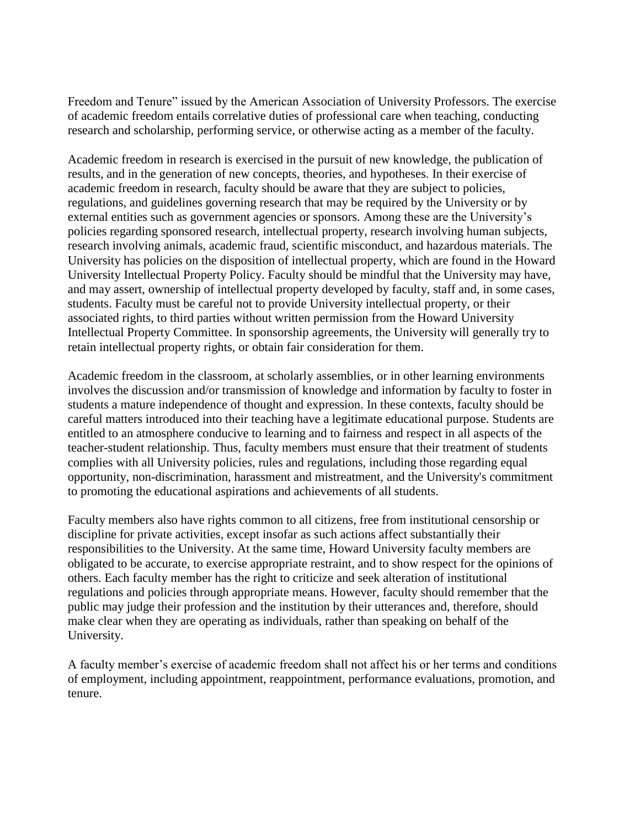Freedom and Tenure" issued by the American Association of University Professors. The exercise of academic freedom entails correlative duties of professional care when teaching, conducting research and scholarship, performing service, or otherwise acting as a member of the faculty.

Academic freedom in research is exercised in the pursuit of new knowledge, the publication of results, and in the generation of new concepts, theories, and hypotheses. In their exercise of academic freedom in research, faculty should be aware that they are subject to policies, regulations, and guidelines governing research that may be required by the University or by external entities such as government agencies or sponsors. Among these are the University's policies regarding sponsored research, intellectual property, research involving human subjects, research involving animals, academic fraud, scientific misconduct, and hazardous materials. The University has policies on the disposition of intellectual property, which are found in the Howard University Intellectual Property Policy. Faculty should be mindful that the University may have, and may assert, ownership of intellectual property developed by faculty, staff and, in some cases, students. Faculty must be careful not to provide University intellectual property, or their associated rights, to third parties without written permission from the Howard University Intellectual Property Committee. In sponsorship agreements, the University will generally try to retain intellectual property rights, or obtain fair consideration for them.

Academic freedom in the classroom, at scholarly assemblies, or in other learning environments involves the discussion and/or transmission of knowledge and information by faculty to foster in students a mature independence of thought and expression. In these contexts, faculty should be careful matters introduced into their teaching have a legitimate educational purpose. Students are entitled to an atmosphere conducive to learning and to fairness and respect in all aspects of the teacher-student relationship. Thus, faculty members must ensure that their treatment of students complies with all University policies, rules and regulations, including those regarding equal opportunity, non-discrimination, harassment and mistreatment, and the University's commitment to promoting the educational aspirations and achievements of all students.

Faculty members also have rights common to all citizens, free from institutional censorship or discipline for private activities, except insofar as such actions affect substantially their responsibilities to the University. At the same time, Howard University faculty members are obligated to be accurate, to exercise appropriate restraint, and to show respect for the opinions of others. Each faculty member has the right to criticize and seek alteration of institutional regulations and policies through appropriate means. However, faculty should remember that the public may judge their profession and the institution by their utterances and, therefore, should make clear when they are operating as individuals, rather than speaking on behalf of the University.

A faculty member's exercise of academic freedom shall not affect his or her terms and conditions of employment, including appointment, reappointment, performance evaluations, promotion, and tenure.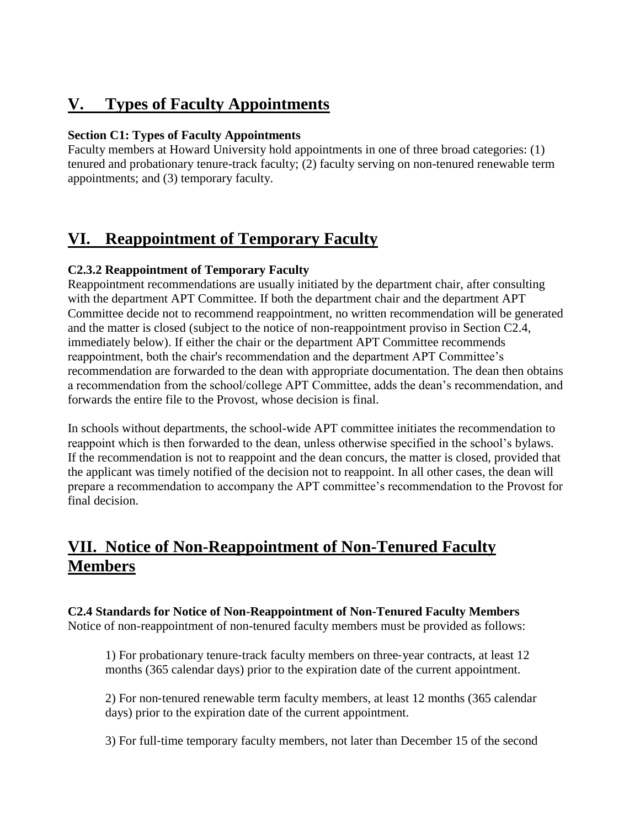# **V. Types of Faculty Appointments**

#### **Section C1: Types of Faculty Appointments**

Faculty members at Howard University hold appointments in one of three broad categories: (1) tenured and probationary tenure-track faculty; (2) faculty serving on non-tenured renewable term appointments; and (3) temporary faculty.

## **VI. Reappointment of Temporary Faculty**

#### **C2.3.2 Reappointment of Temporary Faculty**

Reappointment recommendations are usually initiated by the department chair, after consulting with the department APT Committee. If both the department chair and the department APT Committee decide not to recommend reappointment, no written recommendation will be generated and the matter is closed (subject to the notice of non-reappointment proviso in Section C2.4, immediately below). If either the chair or the department APT Committee recommends reappointment, both the chair's recommendation and the department APT Committee's recommendation are forwarded to the dean with appropriate documentation. The dean then obtains a recommendation from the school/college APT Committee, adds the dean's recommendation, and forwards the entire file to the Provost, whose decision is final.

In schools without departments, the school-wide APT committee initiates the recommendation to reappoint which is then forwarded to the dean, unless otherwise specified in the school's bylaws. If the recommendation is not to reappoint and the dean concurs, the matter is closed, provided that the applicant was timely notified of the decision not to reappoint. In all other cases, the dean will prepare a recommendation to accompany the APT committee's recommendation to the Provost for final decision.

# **VII. Notice of Non-Reappointment of Non-Tenured Faculty Members**

**C2.4 Standards for Notice of Non-Reappointment of Non-Tenured Faculty Members** Notice of non-reappointment of non-tenured faculty members must be provided as follows:

1) For probationary tenure‐track faculty members on three‐year contracts, at least 12 months (365 calendar days) prior to the expiration date of the current appointment.

2) For non‐tenured renewable term faculty members, at least 12 months (365 calendar days) prior to the expiration date of the current appointment.

3) For full‐time temporary faculty members, not later than December 15 of the second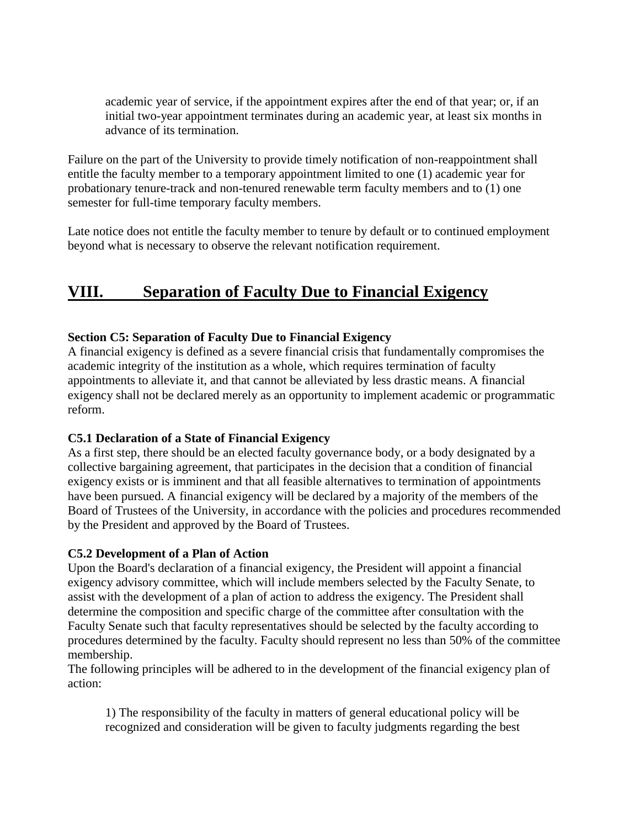academic year of service, if the appointment expires after the end of that year; or, if an initial two-year appointment terminates during an academic year, at least six months in advance of its termination.

Failure on the part of the University to provide timely notification of non-reappointment shall entitle the faculty member to a temporary appointment limited to one (1) academic year for probationary tenure-track and non-tenured renewable term faculty members and to (1) one semester for full-time temporary faculty members.

Late notice does not entitle the faculty member to tenure by default or to continued employment beyond what is necessary to observe the relevant notification requirement.

### **VIII. Separation of Faculty Due to Financial Exigency**

#### **Section C5: Separation of Faculty Due to Financial Exigency**

A financial exigency is defined as a severe financial crisis that fundamentally compromises the academic integrity of the institution as a whole, which requires termination of faculty appointments to alleviate it, and that cannot be alleviated by less drastic means. A financial exigency shall not be declared merely as an opportunity to implement academic or programmatic reform.

#### **C5.1 Declaration of a State of Financial Exigency**

As a first step, there should be an elected faculty governance body, or a body designated by a collective bargaining agreement, that participates in the decision that a condition of financial exigency exists or is imminent and that all feasible alternatives to termination of appointments have been pursued. A financial exigency will be declared by a majority of the members of the Board of Trustees of the University, in accordance with the policies and procedures recommended by the President and approved by the Board of Trustees.

#### **C5.2 Development of a Plan of Action**

Upon the Board's declaration of a financial exigency, the President will appoint a financial exigency advisory committee, which will include members selected by the Faculty Senate, to assist with the development of a plan of action to address the exigency. The President shall determine the composition and specific charge of the committee after consultation with the Faculty Senate such that faculty representatives should be selected by the faculty according to procedures determined by the faculty. Faculty should represent no less than 50% of the committee membership.

The following principles will be adhered to in the development of the financial exigency plan of action:

1) The responsibility of the faculty in matters of general educational policy will be recognized and consideration will be given to faculty judgments regarding the best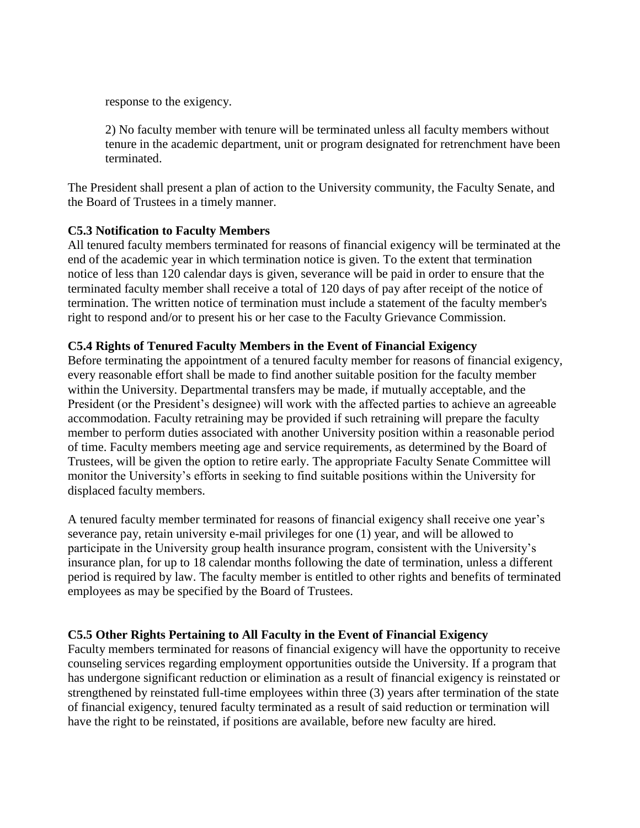response to the exigency.

2) No faculty member with tenure will be terminated unless all faculty members without tenure in the academic department, unit or program designated for retrenchment have been terminated.

The President shall present a plan of action to the University community, the Faculty Senate, and the Board of Trustees in a timely manner.

#### **C5.3 Notification to Faculty Members**

All tenured faculty members terminated for reasons of financial exigency will be terminated at the end of the academic year in which termination notice is given. To the extent that termination notice of less than 120 calendar days is given, severance will be paid in order to ensure that the terminated faculty member shall receive a total of 120 days of pay after receipt of the notice of termination. The written notice of termination must include a statement of the faculty member's right to respond and/or to present his or her case to the Faculty Grievance Commission.

#### **C5.4 Rights of Tenured Faculty Members in the Event of Financial Exigency**

Before terminating the appointment of a tenured faculty member for reasons of financial exigency, every reasonable effort shall be made to find another suitable position for the faculty member within the University. Departmental transfers may be made, if mutually acceptable, and the President (or the President's designee) will work with the affected parties to achieve an agreeable accommodation. Faculty retraining may be provided if such retraining will prepare the faculty member to perform duties associated with another University position within a reasonable period of time. Faculty members meeting age and service requirements, as determined by the Board of Trustees, will be given the option to retire early. The appropriate Faculty Senate Committee will monitor the University's efforts in seeking to find suitable positions within the University for displaced faculty members.

A tenured faculty member terminated for reasons of financial exigency shall receive one year's severance pay, retain university e-mail privileges for one (1) year, and will be allowed to participate in the University group health insurance program, consistent with the University's insurance plan, for up to 18 calendar months following the date of termination, unless a different period is required by law. The faculty member is entitled to other rights and benefits of terminated employees as may be specified by the Board of Trustees.

#### **C5.5 Other Rights Pertaining to All Faculty in the Event of Financial Exigency**

Faculty members terminated for reasons of financial exigency will have the opportunity to receive counseling services regarding employment opportunities outside the University. If a program that has undergone significant reduction or elimination as a result of financial exigency is reinstated or strengthened by reinstated full-time employees within three (3) years after termination of the state of financial exigency, tenured faculty terminated as a result of said reduction or termination will have the right to be reinstated, if positions are available, before new faculty are hired.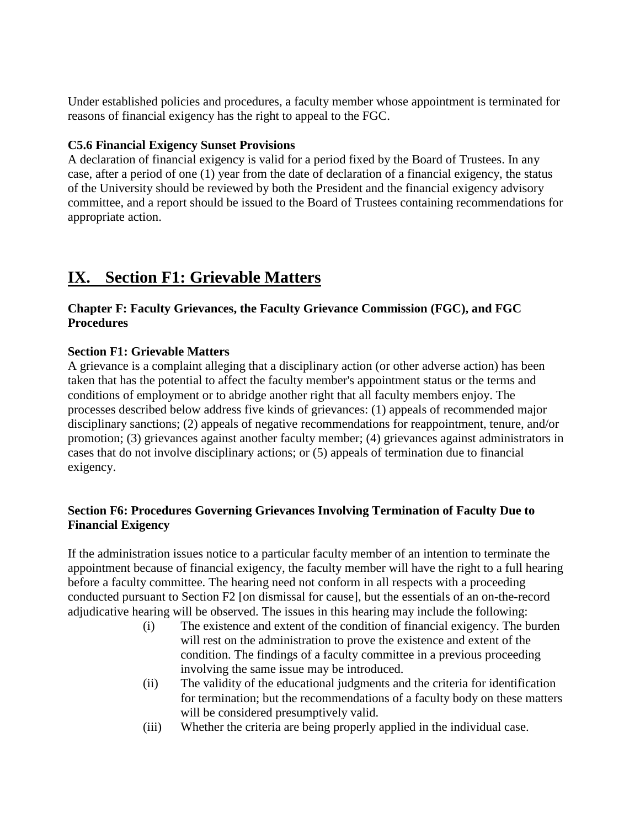Under established policies and procedures, a faculty member whose appointment is terminated for reasons of financial exigency has the right to appeal to the FGC.

#### **C5.6 Financial Exigency Sunset Provisions**

A declaration of financial exigency is valid for a period fixed by the Board of Trustees. In any case, after a period of one (1) year from the date of declaration of a financial exigency, the status of the University should be reviewed by both the President and the financial exigency advisory committee, and a report should be issued to the Board of Trustees containing recommendations for appropriate action.

### **IX. Section F1: Grievable Matters**

#### **Chapter F: Faculty Grievances, the Faculty Grievance Commission (FGC), and FGC Procedures**

#### **Section F1: Grievable Matters**

A grievance is a complaint alleging that a disciplinary action (or other adverse action) has been taken that has the potential to affect the faculty member's appointment status or the terms and conditions of employment or to abridge another right that all faculty members enjoy. The processes described below address five kinds of grievances: (1) appeals of recommended major disciplinary sanctions; (2) appeals of negative recommendations for reappointment, tenure, and/or promotion; (3) grievances against another faculty member; (4) grievances against administrators in cases that do not involve disciplinary actions; or (5) appeals of termination due to financial exigency.

#### **Section F6: Procedures Governing Grievances Involving Termination of Faculty Due to Financial Exigency**

If the administration issues notice to a particular faculty member of an intention to terminate the appointment because of financial exigency, the faculty member will have the right to a full hearing before a faculty committee. The hearing need not conform in all respects with a proceeding conducted pursuant to Section F2 [on dismissal for cause], but the essentials of an on-the-record adjudicative hearing will be observed. The issues in this hearing may include the following:

- (i) The existence and extent of the condition of financial exigency. The burden will rest on the administration to prove the existence and extent of the condition. The findings of a faculty committee in a previous proceeding involving the same issue may be introduced.
- (ii) The validity of the educational judgments and the criteria for identification for termination; but the recommendations of a faculty body on these matters will be considered presumptively valid.
- (iii) Whether the criteria are being properly applied in the individual case.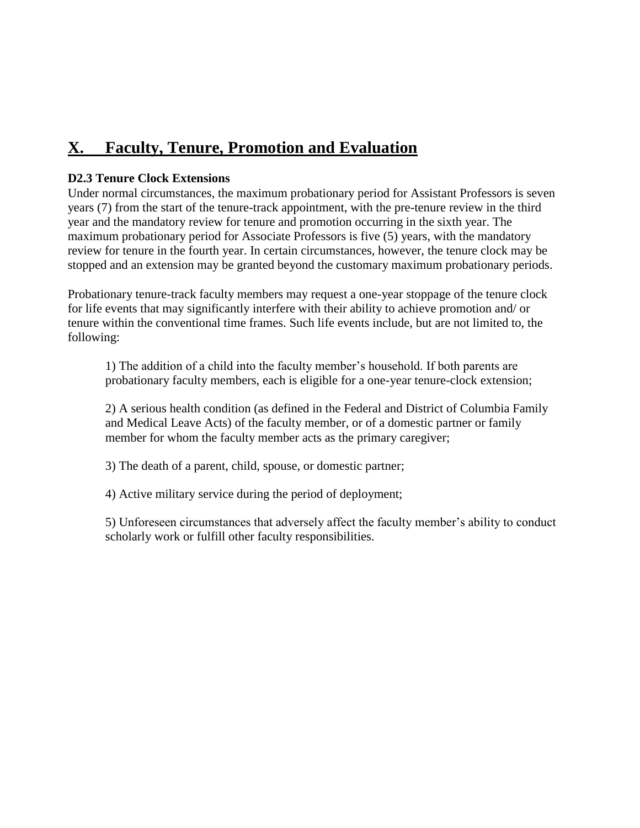## **X. Faculty, Tenure, Promotion and Evaluation**

#### **D2.3 Tenure Clock Extensions**

Under normal circumstances, the maximum probationary period for Assistant Professors is seven years (7) from the start of the tenure-track appointment, with the pre-tenure review in the third year and the mandatory review for tenure and promotion occurring in the sixth year. The maximum probationary period for Associate Professors is five (5) years, with the mandatory review for tenure in the fourth year. In certain circumstances, however, the tenure clock may be stopped and an extension may be granted beyond the customary maximum probationary periods.

Probationary tenure-track faculty members may request a one-year stoppage of the tenure clock for life events that may significantly interfere with their ability to achieve promotion and/ or tenure within the conventional time frames. Such life events include, but are not limited to, the following:

1) The addition of a child into the faculty member's household. If both parents are probationary faculty members, each is eligible for a one-year tenure-clock extension;

2) A serious health condition (as defined in the Federal and District of Columbia Family and Medical Leave Acts) of the faculty member, or of a domestic partner or family member for whom the faculty member acts as the primary caregiver;

3) The death of a parent, child, spouse, or domestic partner;

4) Active military service during the period of deployment;

5) Unforeseen circumstances that adversely affect the faculty member's ability to conduct scholarly work or fulfill other faculty responsibilities.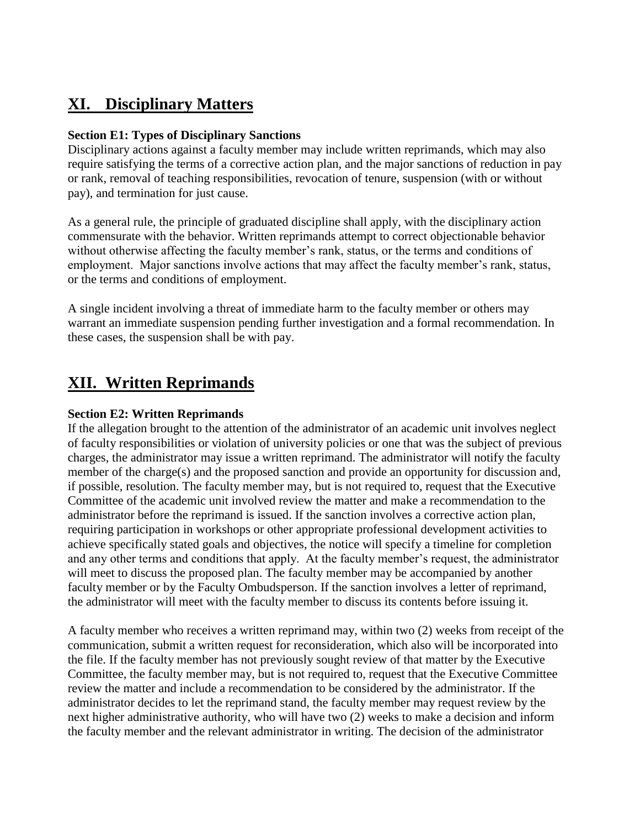## **XI. Disciplinary Matters**

#### **Section E1: Types of Disciplinary Sanctions**

Disciplinary actions against a faculty member may include written reprimands, which may also require satisfying the terms of a corrective action plan, and the major sanctions of reduction in pay or rank, removal of teaching responsibilities, revocation of tenure, suspension (with or without pay), and termination for just cause.

As a general rule, the principle of graduated discipline shall apply, with the disciplinary action commensurate with the behavior. Written reprimands attempt to correct objectionable behavior without otherwise affecting the faculty member's rank, status, or the terms and conditions of employment. Major sanctions involve actions that may affect the faculty member's rank, status, or the terms and conditions of employment.

A single incident involving a threat of immediate harm to the faculty member or others may warrant an immediate suspension pending further investigation and a formal recommendation. In these cases, the suspension shall be with pay.

### **XII. Written Reprimands**

#### **Section E2: Written Reprimands**

If the allegation brought to the attention of the administrator of an academic unit involves neglect of faculty responsibilities or violation of university policies or one that was the subject of previous charges, the administrator may issue a written reprimand. The administrator will notify the faculty member of the charge(s) and the proposed sanction and provide an opportunity for discussion and, if possible, resolution. The faculty member may, but is not required to, request that the Executive Committee of the academic unit involved review the matter and make a recommendation to the administrator before the reprimand is issued. If the sanction involves a corrective action plan, requiring participation in workshops or other appropriate professional development activities to achieve specifically stated goals and objectives, the notice will specify a timeline for completion and any other terms and conditions that apply. At the faculty member's request, the administrator will meet to discuss the proposed plan. The faculty member may be accompanied by another faculty member or by the Faculty Ombudsperson. If the sanction involves a letter of reprimand, the administrator will meet with the faculty member to discuss its contents before issuing it.

A faculty member who receives a written reprimand may, within two (2) weeks from receipt of the communication, submit a written request for reconsideration, which also will be incorporated into the file. If the faculty member has not previously sought review of that matter by the Executive Committee, the faculty member may, but is not required to, request that the Executive Committee review the matter and include a recommendation to be considered by the administrator. If the administrator decides to let the reprimand stand, the faculty member may request review by the next higher administrative authority, who will have two (2) weeks to make a decision and inform the faculty member and the relevant administrator in writing. The decision of the administrator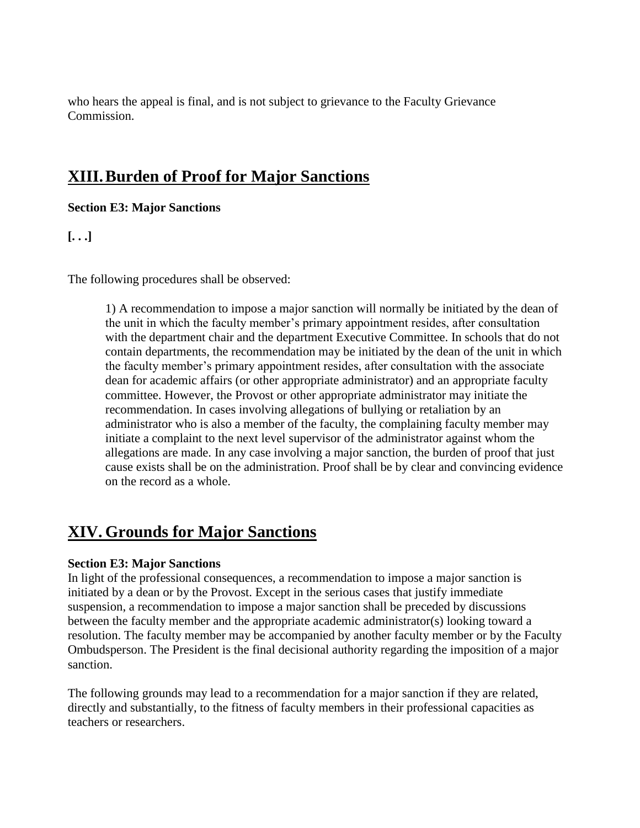who hears the appeal is final, and is not subject to grievance to the Faculty Grievance Commission.

### **XIII.Burden of Proof for Major Sanctions**

**Section E3: Major Sanctions**

**[. . .]**

The following procedures shall be observed:

1) A recommendation to impose a major sanction will normally be initiated by the dean of the unit in which the faculty member's primary appointment resides, after consultation with the department chair and the department Executive Committee. In schools that do not contain departments, the recommendation may be initiated by the dean of the unit in which the faculty member's primary appointment resides, after consultation with the associate dean for academic affairs (or other appropriate administrator) and an appropriate faculty committee. However, the Provost or other appropriate administrator may initiate the recommendation. In cases involving allegations of bullying or retaliation by an administrator who is also a member of the faculty, the complaining faculty member may initiate a complaint to the next level supervisor of the administrator against whom the allegations are made. In any case involving a major sanction, the burden of proof that just cause exists shall be on the administration. Proof shall be by clear and convincing evidence on the record as a whole.

## **XIV. Grounds for Major Sanctions**

#### **Section E3: Major Sanctions**

In light of the professional consequences, a recommendation to impose a major sanction is initiated by a dean or by the Provost. Except in the serious cases that justify immediate suspension, a recommendation to impose a major sanction shall be preceded by discussions between the faculty member and the appropriate academic administrator(s) looking toward a resolution. The faculty member may be accompanied by another faculty member or by the Faculty Ombudsperson. The President is the final decisional authority regarding the imposition of a major sanction.

The following grounds may lead to a recommendation for a major sanction if they are related, directly and substantially, to the fitness of faculty members in their professional capacities as teachers or researchers.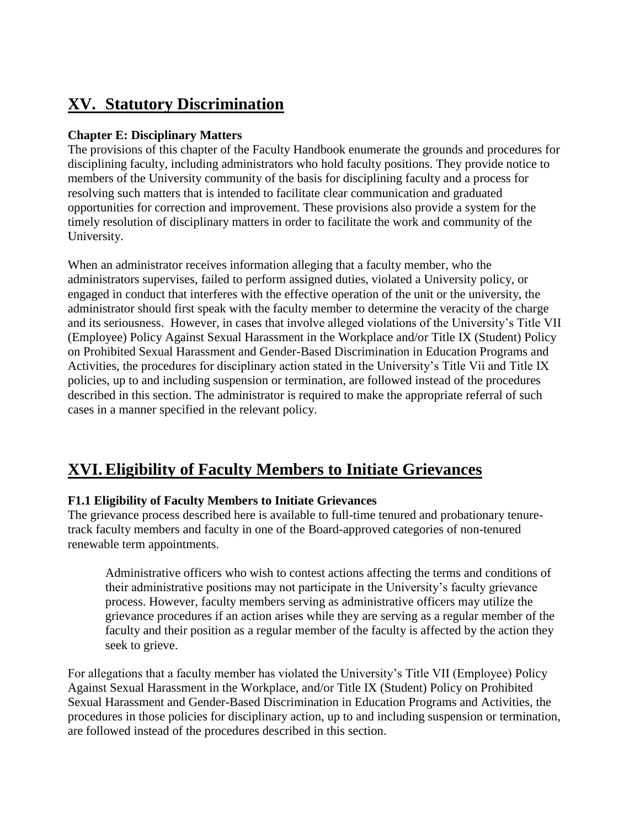# **XV. Statutory Discrimination**

#### **Chapter E: Disciplinary Matters**

The provisions of this chapter of the Faculty Handbook enumerate the grounds and procedures for disciplining faculty, including administrators who hold faculty positions. They provide notice to members of the University community of the basis for disciplining faculty and a process for resolving such matters that is intended to facilitate clear communication and graduated opportunities for correction and improvement. These provisions also provide a system for the timely resolution of disciplinary matters in order to facilitate the work and community of the University.

When an administrator receives information alleging that a faculty member, who the administrators supervises, failed to perform assigned duties, violated a University policy, or engaged in conduct that interferes with the effective operation of the unit or the university, the administrator should first speak with the faculty member to determine the veracity of the charge and its seriousness. However, in cases that involve alleged violations of the University's Title VII (Employee) Policy Against Sexual Harassment in the Workplace and/or Title IX (Student) Policy on Prohibited Sexual Harassment and Gender-Based Discrimination in Education Programs and Activities, the procedures for disciplinary action stated in the University's Title Vii and Title IX policies, up to and including suspension or termination, are followed instead of the procedures described in this section. The administrator is required to make the appropriate referral of such cases in a manner specified in the relevant policy.

## **XVI. Eligibility of Faculty Members to Initiate Grievances**

#### **F1.1 Eligibility of Faculty Members to Initiate Grievances**

The grievance process described here is available to full-time tenured and probationary tenuretrack faculty members and faculty in one of the Board-approved categories of non-tenured renewable term appointments.

Administrative officers who wish to contest actions affecting the terms and conditions of their administrative positions may not participate in the University's faculty grievance process. However, faculty members serving as administrative officers may utilize the grievance procedures if an action arises while they are serving as a regular member of the faculty and their position as a regular member of the faculty is affected by the action they seek to grieve.

For allegations that a faculty member has violated the University's Title VII (Employee) Policy Against Sexual Harassment in the Workplace, and/or Title IX (Student) Policy on Prohibited Sexual Harassment and Gender-Based Discrimination in Education Programs and Activities, the procedures in those policies for disciplinary action, up to and including suspension or termination, are followed instead of the procedures described in this section.